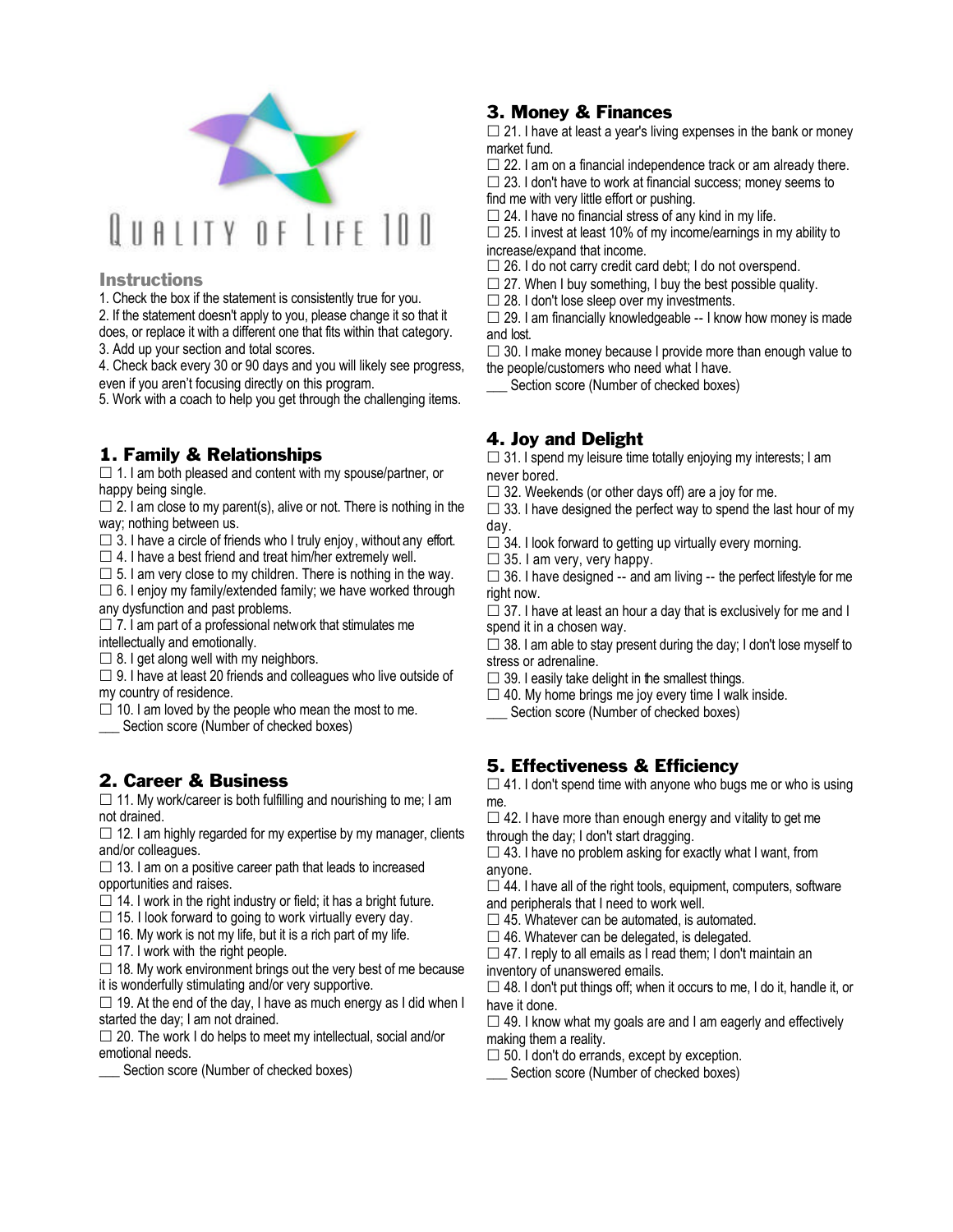

### **Instructions**

1. Check the box if the statement is consistently true for you.

2. If the statement doesn't apply to you, please change it so that it does, or replace it with a different one that fits within that category.

3. Add up your section and total scores.

4. Check back every 30 or 90 days and you will likely see progress, even if you aren't focusing directly on this program.

5. Work with a coach to help you get through the challenging items.

# 1. Family & Relationships

 $\Box$  1. I am both pleased and content with my spouse/partner, or happy being single.

 $\Box$  2. I am close to my parent(s), alive or not. There is nothing in the way; nothing between us.

 $\Box$  3. I have a circle of friends who I truly enjoy, without any effort.

 $\square$  4. I have a best friend and treat him/her extremely well.

 $\Box$  5. I am very close to my children. There is nothing in the way.  $\square$  6. I enjoy my family/extended family; we have worked through

any dysfunction and past problems.

 $\square$  7. I am part of a professional network that stimulates me intellectually and emotionally.

 $\square$  8. I get along well with my neighbors.

 $\Box$  9. I have at least 20 friends and colleagues who live outside of my country of residence.

 $\Box$  10. I am loved by the people who mean the most to me.

Section score (Number of checked boxes)

# 2. Career & Business

 $\Box$  11. My work/career is both fulfilling and nourishing to me; I am not drained.

 $\Box$  12. I am highly regarded for my expertise by my manager, clients and/or colleagues.

 $\Box$  13. I am on a positive career path that leads to increased opportunities and raises.

 $\Box$  14. I work in the right industry or field; it has a bright future.

 $\square$  15. I look forward to going to work virtually every day.

 $\Box$  16. My work is not my life, but it is a rich part of my life.

 $\Box$  17. I work with the right people.

 $\Box$  18. My work environment brings out the very best of me because it is wonderfully stimulating and/or very supportive.

 $\square$  19. At the end of the day, I have as much energy as I did when I started the day; I am not drained.

 $\square$  20. The work I do helps to meet my intellectual, social and/or emotional needs.

Section score (Number of checked boxes)

## 3. Money & Finances

 $\Box$  21. I have at least a year's living expenses in the bank or money market fund.

 $\square$  22. I am on a financial independence track or am already there.  $\square$  23. I don't have to work at financial success; money seems to find me with very little effort or pushing.

 $\square$  24. I have no financial stress of any kind in my life.

 $\Box$  25. I invest at least 10% of my income/earnings in my ability to increase/expand that income.

 $\square$  26. I do not carry credit card debt; I do not overspend.

 $\square$  27. When I buy something, I buy the best possible quality.

 $\square$  28. I don't lose sleep over my investments.

 $\square$  29. I am financially knowledgeable -- I know how money is made and lost.

 $\square$  30. I make money because I provide more than enough value to the people/customers who need what I have.

Section score (Number of checked boxes)

## 4. Joy and Delight

 $\square$  31. I spend my leisure time totally enjoying my interests; I am never bored.

 $\Box$  32. Weekends (or other days off) are a joy for me.

 $\Box$  33. I have designed the perfect way to spend the last hour of my day.

- $\Box$  34. I look forward to getting up virtually every morning.
- $\Box$  35. I am very, very happy.

 $\Box$  36. I have designed -- and am living -- the perfect lifestyle for me right now.

 $\Box$  37. I have at least an hour a day that is exclusively for me and I spend it in a chosen way.

 $\Box$  38. I am able to stay present during the day; I don't lose myself to stress or adrenaline.

 $\square$  39. I easily take delight in the smallest things.

 $\square$  40. My home brings me joy every time I walk inside. Section score (Number of checked boxes)

# 5. Effectiveness & Efficiency

 $\Box$  41. I don't spend time with anyone who bugs me or who is using me.

 $\Box$  42. I have more than enough energy and vitality to get me

through the day; I don't start dragging.

 $\square$  43. I have no problem asking for exactly what I want, from anyone.

 $\square$  44. I have all of the right tools, equipment, computers, software and peripherals that I need to work well.

 $\square$  45. Whatever can be automated, is automated.

 $\square$  46. Whatever can be delegated, is delegated.

 $\Box$  47. I reply to all emails as I read them; I don't maintain an inventory of unanswered emails.

 $\Box$  48. I don't put things off; when it occurs to me, I do it, handle it, or have it done.

 $\Box$  49. I know what my goals are and I am eagerly and effectively making them a reality.

 $\square$  50. I don't do errands, except by exception.

Section score (Number of checked boxes)